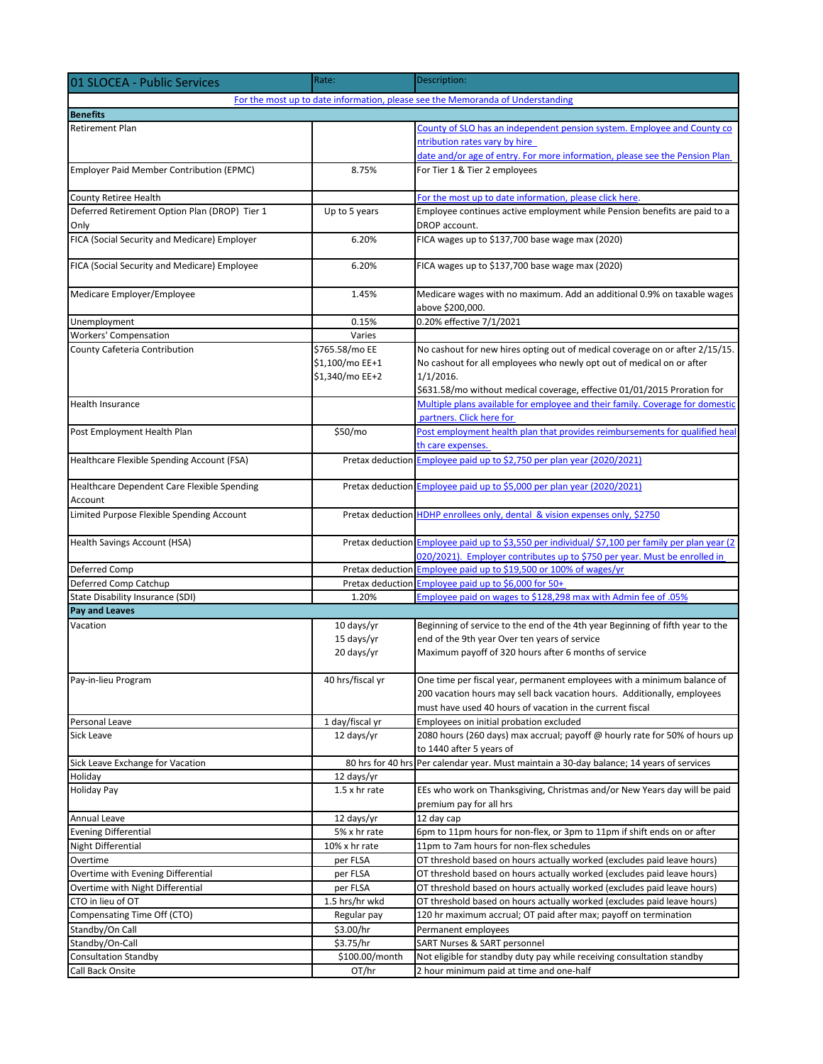| 01 SLOCEA - Public Services                   | Rate:             | Description:                                                                                                                                                                   |  |
|-----------------------------------------------|-------------------|--------------------------------------------------------------------------------------------------------------------------------------------------------------------------------|--|
|                                               |                   | For the most up to date information, please see the Memoranda of Understanding                                                                                                 |  |
| <b>Benefits</b>                               |                   |                                                                                                                                                                                |  |
| <b>Retirement Plan</b>                        |                   | County of SLO has an independent pension system. Employee and County co                                                                                                        |  |
|                                               |                   | ntribution rates vary by hire                                                                                                                                                  |  |
|                                               |                   | date and/or age of entry. For more information, please see the Pension Plan                                                                                                    |  |
| Employer Paid Member Contribution (EPMC)      | 8.75%             | For Tier 1 & Tier 2 employees                                                                                                                                                  |  |
| County Retiree Health                         |                   | For the most up to date information, please click here.                                                                                                                        |  |
| Deferred Retirement Option Plan (DROP) Tier 1 | Up to 5 years     | Employee continues active employment while Pension benefits are paid to a                                                                                                      |  |
| Only                                          |                   | DROP account.                                                                                                                                                                  |  |
| FICA (Social Security and Medicare) Employer  | 6.20%             | FICA wages up to \$137,700 base wage max (2020)                                                                                                                                |  |
| FICA (Social Security and Medicare) Employee  | 6.20%             | FICA wages up to \$137,700 base wage max (2020)                                                                                                                                |  |
| Medicare Employer/Employee                    | 1.45%             | Medicare wages with no maximum. Add an additional 0.9% on taxable wages<br>above \$200,000.                                                                                    |  |
| Unemployment                                  | 0.15%             | 0.20% effective 7/1/2021                                                                                                                                                       |  |
| <b>Workers' Compensation</b>                  | Varies            |                                                                                                                                                                                |  |
| County Cafeteria Contribution                 | \$765.58/mo EE    | No cashout for new hires opting out of medical coverage on or after 2/15/15.                                                                                                   |  |
|                                               | \$1,100/mo EE+1   | No cashout for all employees who newly opt out of medical on or after                                                                                                          |  |
|                                               | \$1,340/mo EE+2   | $1/1/2016$ .                                                                                                                                                                   |  |
|                                               |                   | \$631.58/mo without medical coverage, effective 01/01/2015 Proration for                                                                                                       |  |
| Health Insurance                              |                   | Multiple plans available for employee and their family. Coverage for domestic                                                                                                  |  |
|                                               |                   | partners. Click here for                                                                                                                                                       |  |
| Post Employment Health Plan                   | \$50/mo           | Post employment health plan that provides reimbursements for qualified heal                                                                                                    |  |
|                                               |                   | th care expenses.                                                                                                                                                              |  |
| Healthcare Flexible Spending Account (FSA)    |                   | Pretax deduction Employee paid up to \$2,750 per plan year (2020/2021)                                                                                                         |  |
| Healthcare Dependent Care Flexible Spending   |                   | Pretax deduction Employee paid up to \$5,000 per plan year (2020/2021)                                                                                                         |  |
| Account                                       |                   |                                                                                                                                                                                |  |
| Limited Purpose Flexible Spending Account     |                   | Pretax deduction HDHP enrollees only, dental & vision expenses only, \$2750                                                                                                    |  |
| Health Savings Account (HSA)                  |                   | Pretax deduction Employee paid up to \$3,550 per individual/ \$7,100 per family per plan year (2)<br>020/2021). Employer contributes up to \$750 per year. Must be enrolled in |  |
| Deferred Comp                                 |                   | Pretax deduction Employee paid up to \$19,500 or 100% of wages/yr                                                                                                              |  |
| Deferred Comp Catchup                         | Pretax deduction  | Employee paid up to \$6,000 for 50+                                                                                                                                            |  |
| State Disability Insurance (SDI)              | 1.20%             | Employee paid on wages to \$128,298 max with Admin fee of .05%                                                                                                                 |  |
| <b>Pay and Leaves</b>                         |                   |                                                                                                                                                                                |  |
| Vacation                                      | 10 days/yr        | Beginning of service to the end of the 4th year Beginning of fifth year to the                                                                                                 |  |
|                                               | 15 days/yr        | end of the 9th year Over ten years of service                                                                                                                                  |  |
|                                               | 20 days/yr        | Maximum payoff of 320 hours after 6 months of service                                                                                                                          |  |
| Pay-in-lieu Program                           | 40 hrs/fiscal yr  | One time per fiscal year, permanent employees with a minimum balance of                                                                                                        |  |
|                                               |                   | 200 vacation hours may sell back vacation hours. Additionally, employees                                                                                                       |  |
|                                               |                   | must have used 40 hours of vacation in the current fiscal                                                                                                                      |  |
| Personal Leave                                | 1 day/fiscal yr   | Employees on initial probation excluded                                                                                                                                        |  |
| Sick Leave                                    | 12 days/yr        | 2080 hours (260 days) max accrual; payoff @ hourly rate for 50% of hours up                                                                                                    |  |
|                                               |                   | to 1440 after 5 years of                                                                                                                                                       |  |
| Sick Leave Exchange for Vacation              | 80 hrs for 40 hrs | Per calendar year. Must maintain a 30-day balance; 14 years of services                                                                                                        |  |
| Holiday                                       | 12 days/yr        | EEs who work on Thanksgiving, Christmas and/or New Years day will be paid                                                                                                      |  |
| Holiday Pay                                   | 1.5 x hr rate     | premium pay for all hrs                                                                                                                                                        |  |
| Annual Leave                                  | 12 days/yr        | 12 day cap                                                                                                                                                                     |  |
| <b>Evening Differential</b>                   | 5% x hr rate      | 6pm to 11pm hours for non-flex, or 3pm to 11pm if shift ends on or after                                                                                                       |  |
| <b>Night Differential</b>                     | 10% x hr rate     | 11pm to 7am hours for non-flex schedules                                                                                                                                       |  |
| Overtime                                      | per FLSA          | OT threshold based on hours actually worked (excludes paid leave hours)                                                                                                        |  |
| Overtime with Evening Differential            | per FLSA          | OT threshold based on hours actually worked (excludes paid leave hours)                                                                                                        |  |
| Overtime with Night Differential              | per FLSA          | OT threshold based on hours actually worked (excludes paid leave hours)                                                                                                        |  |
| CTO in lieu of OT                             | 1.5 hrs/hr wkd    | OT threshold based on hours actually worked (excludes paid leave hours)                                                                                                        |  |
| Compensating Time Off (CTO)                   | Regular pay       | 120 hr maximum accrual; OT paid after max; payoff on termination                                                                                                               |  |
| Standby/On Call                               | \$3.00/hr         | Permanent employees                                                                                                                                                            |  |
| Standby/On-Call                               | \$3.75/hr         | SART Nurses & SART personnel                                                                                                                                                   |  |
| <b>Consultation Standby</b>                   | \$100.00/month    | Not eligible for standby duty pay while receiving consultation standby                                                                                                         |  |
| Call Back Onsite                              | OT/hr             | 2 hour minimum paid at time and one-half                                                                                                                                       |  |